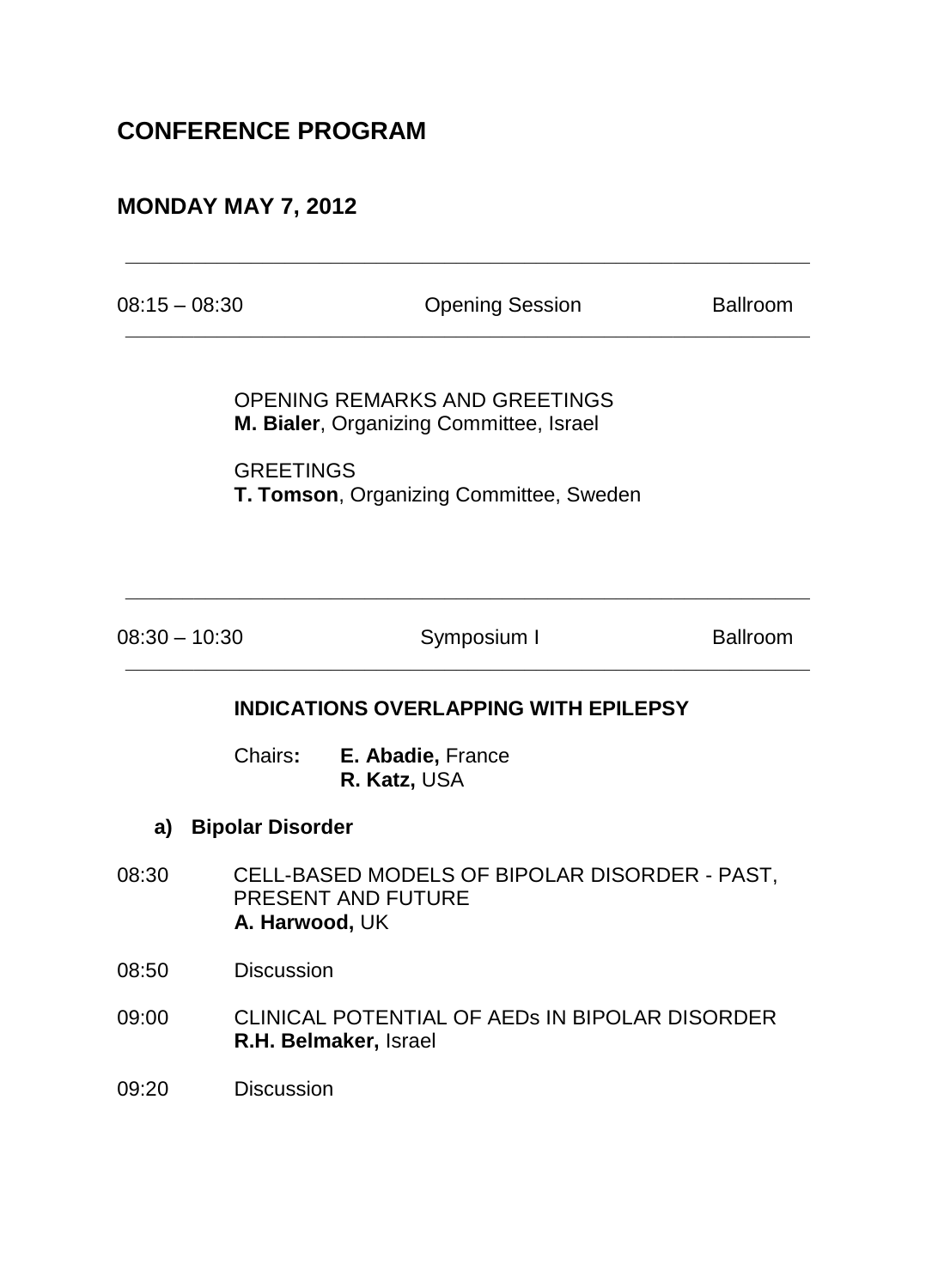## **CONFERENCE PROGRAM**

## **MONDAY MAY 7, 2012**

08:15 – 08:30 Opening Session Ballroom

**\_\_\_\_\_\_\_\_\_\_\_\_\_\_\_\_\_\_\_\_\_\_\_\_\_\_\_\_\_\_\_\_\_\_\_\_\_\_\_\_\_\_\_\_\_\_\_\_\_\_\_\_\_\_\_\_\_\_\_\_**

**\_\_\_\_\_\_\_\_\_\_\_\_\_\_\_\_\_\_\_\_\_\_\_\_\_\_\_\_\_\_\_\_\_\_\_\_\_\_\_\_\_\_\_\_\_\_\_\_\_\_\_\_\_\_\_\_\_\_\_\_**

OPENING REMARKS AND GREETINGS **M. Bialer**, Organizing Committee, Israel

**GREETINGS T. Tomson**, Organizing Committee, Sweden

08:30 – 10:30 Symposium I Ballroom

**\_\_\_\_\_\_\_\_\_\_\_\_\_\_\_\_\_\_\_\_\_\_\_\_\_\_\_\_\_\_\_\_\_\_\_\_\_\_\_\_\_\_\_\_\_\_\_\_\_\_\_\_\_\_\_\_\_\_\_\_**

**\_\_\_\_\_\_\_\_\_\_\_\_\_\_\_\_\_\_\_\_\_\_\_\_\_\_\_\_\_\_\_\_\_\_\_\_\_\_\_\_\_\_\_\_\_\_\_\_\_\_\_\_\_\_\_\_\_\_\_\_**

#### **INDICATIONS OVERLAPPING WITH EPILEPSY**

Chairs**: E. Abadie,** France **R. Katz,** USA

- **a) Bipolar Disorder**
- 08:30 CELL-BASED MODELS OF BIPOLAR DISORDER PAST, PRESENT AND FUTURE **A. Harwood,** UK
- 08:50 Discussion
- 09:00 CLINICAL POTENTIAL OF AEDs IN BIPOLAR DISORDER **R.H. Belmaker,** Israel
- 09:20 Discussion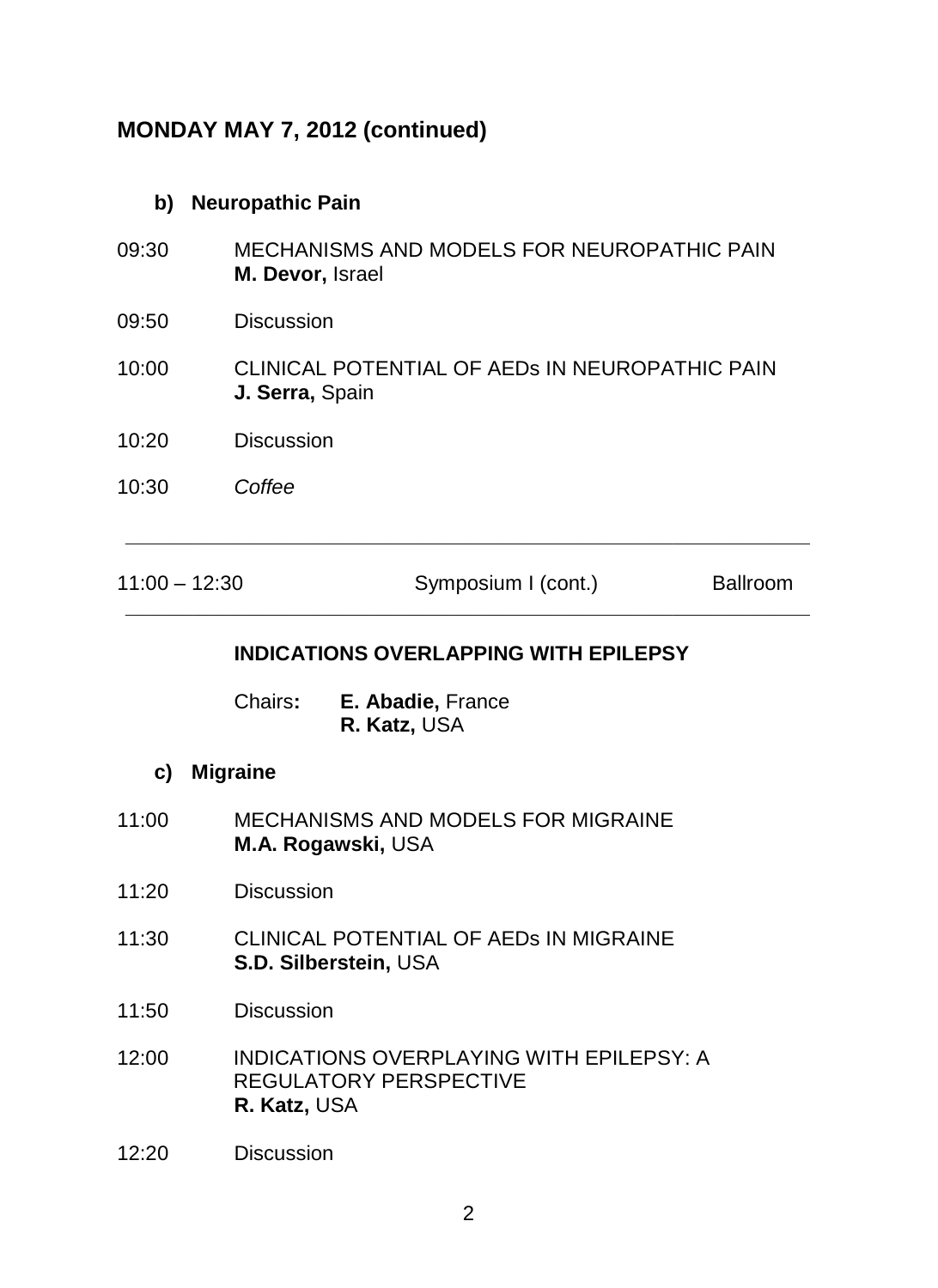## **MONDAY MAY 7, 2012 (continued)**

## **b) Neuropathic Pain**

- 09:30 MECHANISMS AND MODELS FOR NEUROPATHIC PAIN **M. Devor,** Israel
- 09:50 Discussion
- 10:00 CLINICAL POTENTIAL OF AEDs IN NEUROPATHIC PAIN **J. Serra,** Spain
- 10:20 Discussion
- 10:30 *Coffee*

| $11:00 - 12:30$ | Symposium I (cont.) | Ballroom |
|-----------------|---------------------|----------|
|                 |                     |          |

**\_\_\_\_\_\_\_\_\_\_\_\_\_\_\_\_\_\_\_\_\_\_\_\_\_\_\_\_\_\_\_\_\_\_\_\_\_\_\_\_\_\_\_\_\_\_\_\_\_\_\_\_\_\_\_\_\_\_\_\_**

## **INDICATIONS OVERLAPPING WITH EPILEPSY**

| Chairs: | E. Abadie, France |  |
|---------|-------------------|--|
|         | R. Katz, USA      |  |

#### **c) Migraine**

- 11:00 MECHANISMS AND MODELS FOR MIGRAINE **M.A. Rogawski,** USA
- 11:20 Discussion
- 11:30 CLINICAL POTENTIAL OF AEDs IN MIGRAINE **S.D. Silberstein,** USA
- 11:50 Discussion
- 12:00 INDICATIONS OVERPLAYING WITH EPILEPSY: A REGULATORY PERSPECTIVE **R. Katz,** USA
- 12:20 Discussion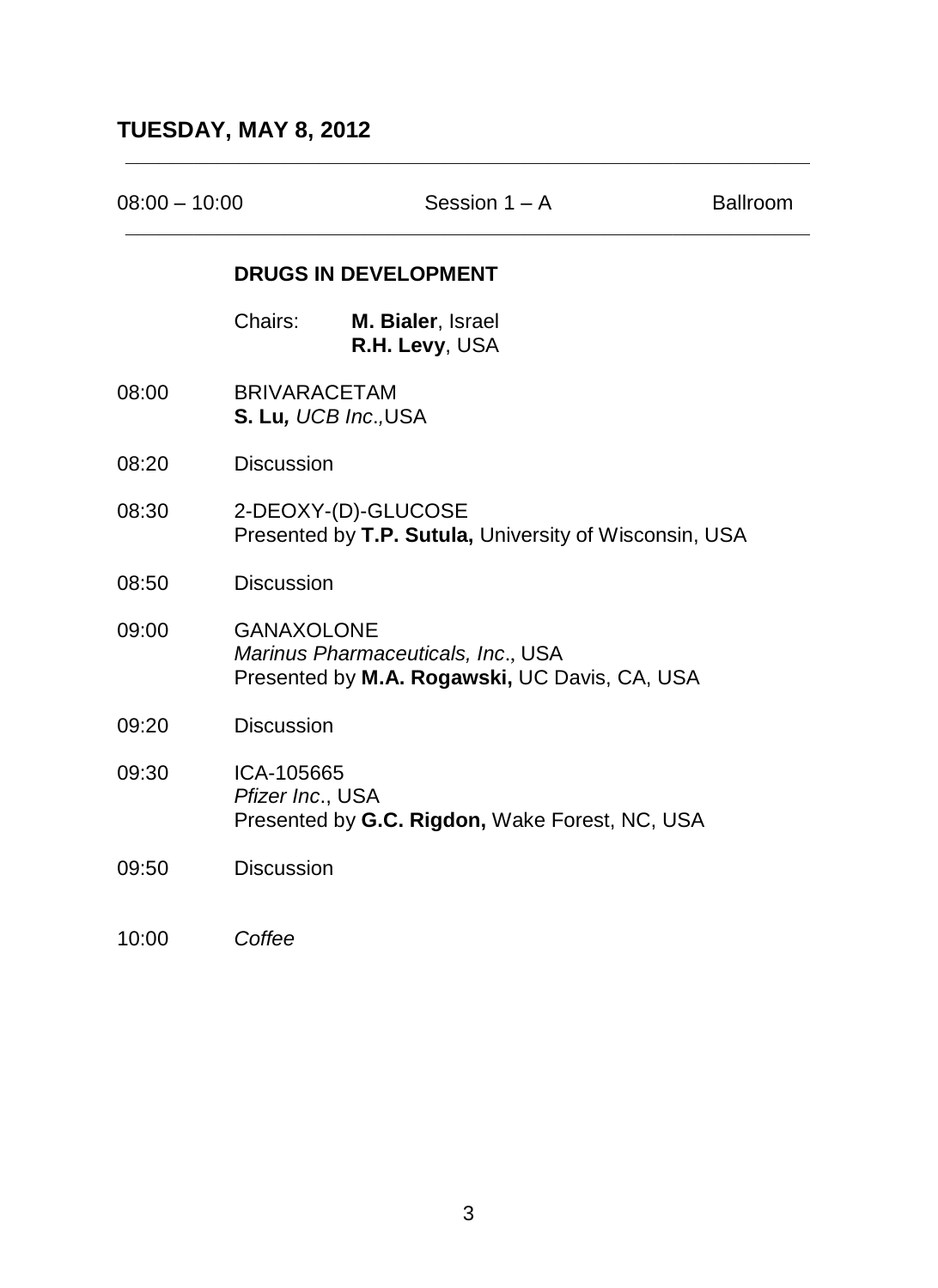| $08:00 - 10:00$             |                                             | Session 1 - A                                                                       | <b>Ballroom</b> |
|-----------------------------|---------------------------------------------|-------------------------------------------------------------------------------------|-----------------|
| <b>DRUGS IN DEVELOPMENT</b> |                                             |                                                                                     |                 |
|                             | Chairs:                                     | M. Bialer, Israel<br>R.H. Levy, USA                                                 |                 |
| 08:00                       | <b>BRIVARACETAM</b><br>S. Lu, UCB Inc., USA |                                                                                     |                 |
| 08:20                       | <b>Discussion</b>                           |                                                                                     |                 |
| 08:30                       |                                             | 2-DEOXY-(D)-GLUCOSE<br>Presented by T.P. Sutula, University of Wisconsin, USA       |                 |
| 08:50                       | <b>Discussion</b>                           |                                                                                     |                 |
| 09:00                       | <b>GANAXOLONE</b>                           | Marinus Pharmaceuticals, Inc., USA<br>Presented by M.A. Rogawski, UC Davis, CA, USA |                 |
| 09:20                       | <b>Discussion</b>                           |                                                                                     |                 |
| 09:30                       | ICA-105665<br>Pfizer Inc., USA              | Presented by G.C. Rigdon, Wake Forest, NC, USA                                      |                 |
| 09:50                       | <b>Discussion</b>                           |                                                                                     |                 |
| 10:00                       | Coffee                                      |                                                                                     |                 |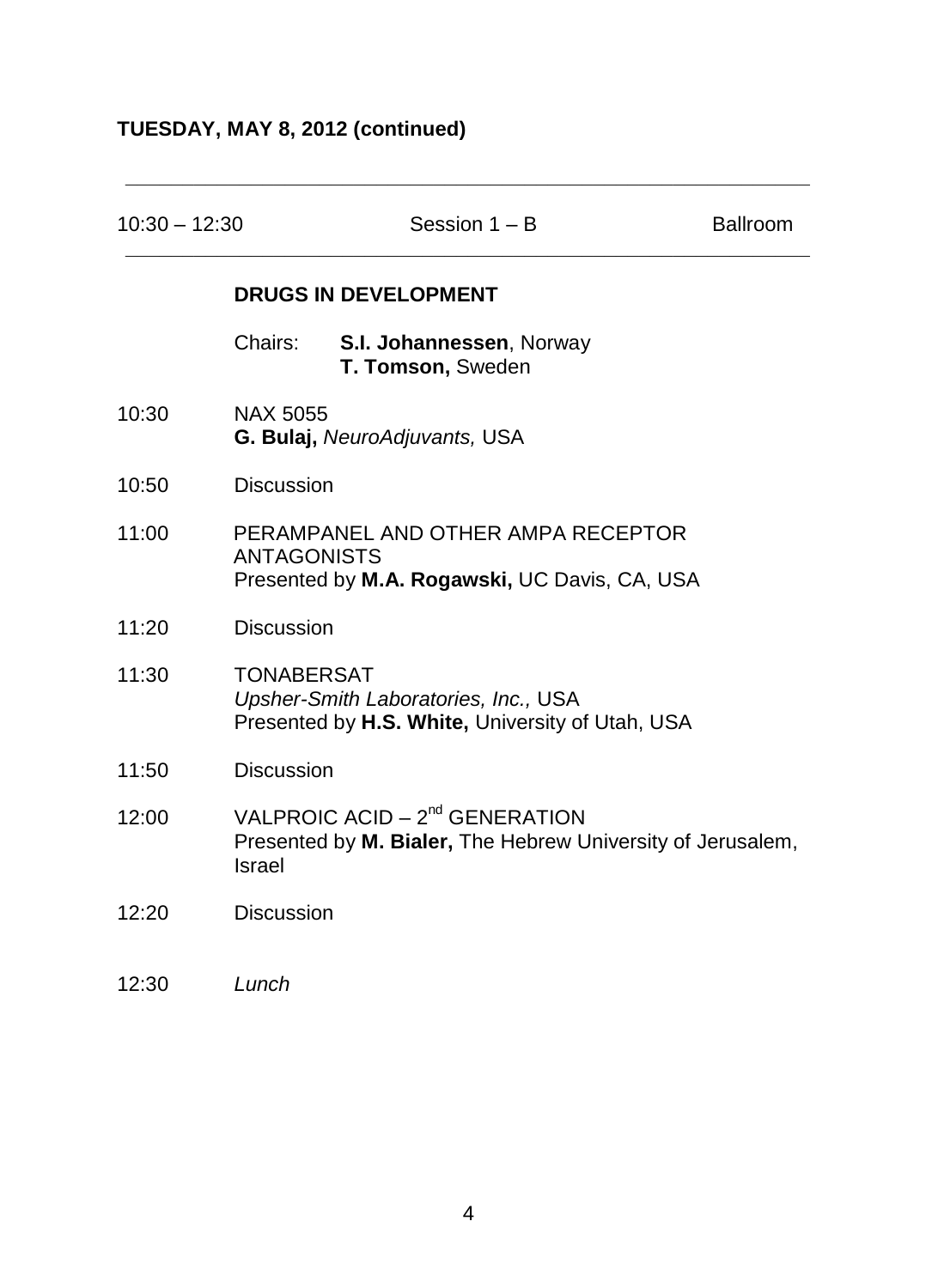| $10:30 - 12:30$ |                             | Session 1 - B                                                                                      | Ballroom |
|-----------------|-----------------------------|----------------------------------------------------------------------------------------------------|----------|
|                 | <b>DRUGS IN DEVELOPMENT</b> |                                                                                                    |          |
|                 | Chairs:                     | S.I. Johannessen, Norway<br>T. Tomson, Sweden                                                      |          |
| 10:30           | NAX 5055                    | G. Bulaj, NeuroAdjuvants, USA                                                                      |          |
| 10:50           | <b>Discussion</b>           |                                                                                                    |          |
| 11:00           | <b>ANTAGONISTS</b>          | PERAMPANEL AND OTHER AMPA RECEPTOR<br>Presented by M.A. Rogawski, UC Davis, CA, USA                |          |
| 11:20           | <b>Discussion</b>           |                                                                                                    |          |
| 11:30           | <b>TONABERSAT</b>           | Upsher-Smith Laboratories, Inc., USA<br>Presented by H.S. White, University of Utah, USA           |          |
| 11:50           | <b>Discussion</b>           |                                                                                                    |          |
| 12:00           | Israel                      | VALPROIC ACID - $2^{nd}$ GENERATION<br>Presented by M. Bialer, The Hebrew University of Jerusalem, |          |
| 12:20           | <b>Discussion</b>           |                                                                                                    |          |
| 12:30           | Lunch                       |                                                                                                    |          |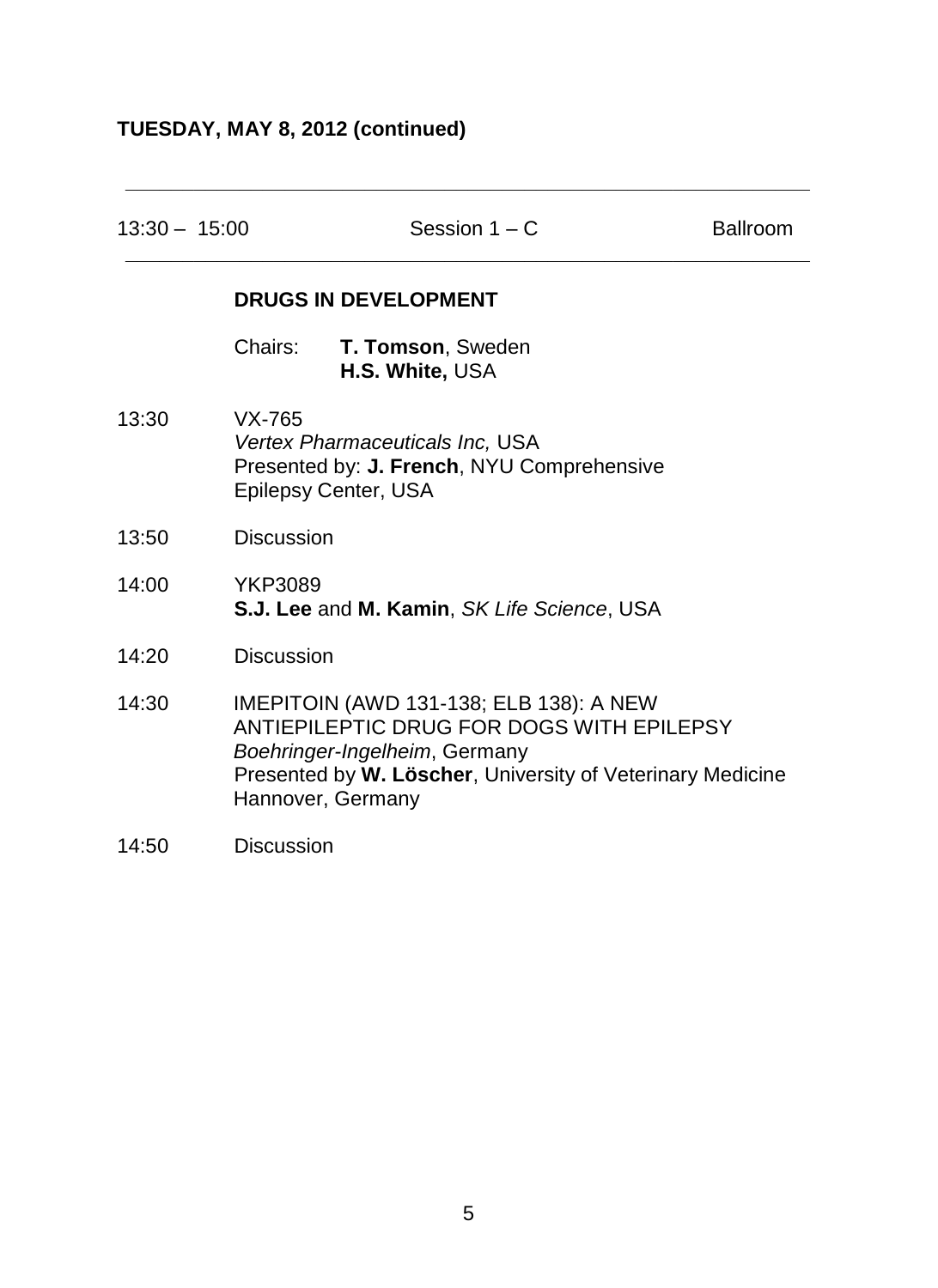| $13:30 - 15:00$ |                             | Session $1 - C$                                                                                                                                                                            | <b>Ballroom</b> |
|-----------------|-----------------------------|--------------------------------------------------------------------------------------------------------------------------------------------------------------------------------------------|-----------------|
|                 | <b>DRUGS IN DEVELOPMENT</b> |                                                                                                                                                                                            |                 |
|                 | Chairs:                     | T. Tomson, Sweden<br>H.S. White, USA                                                                                                                                                       |                 |
| 13:30           | VX-765                      | Vertex Pharmaceuticals Inc, USA<br>Presented by: J. French, NYU Comprehensive<br>Epilepsy Center, USA                                                                                      |                 |
| 13:50           | Discussion                  |                                                                                                                                                                                            |                 |
| 14:00           | YKP3089                     | S.J. Lee and M. Kamin, SK Life Science, USA                                                                                                                                                |                 |
| 14:20           | Discussion                  |                                                                                                                                                                                            |                 |
| 14:30           | Hannover, Germany           | <b>IMEPITOIN (AWD 131-138; ELB 138): A NEW</b><br>ANTIEPILEPTIC DRUG FOR DOGS WITH EPILEPSY<br>Boehringer-Ingelheim, Germany<br>Presented by W. Löscher, University of Veterinary Medicine |                 |
| 14:50           | <b>Discussion</b>           |                                                                                                                                                                                            |                 |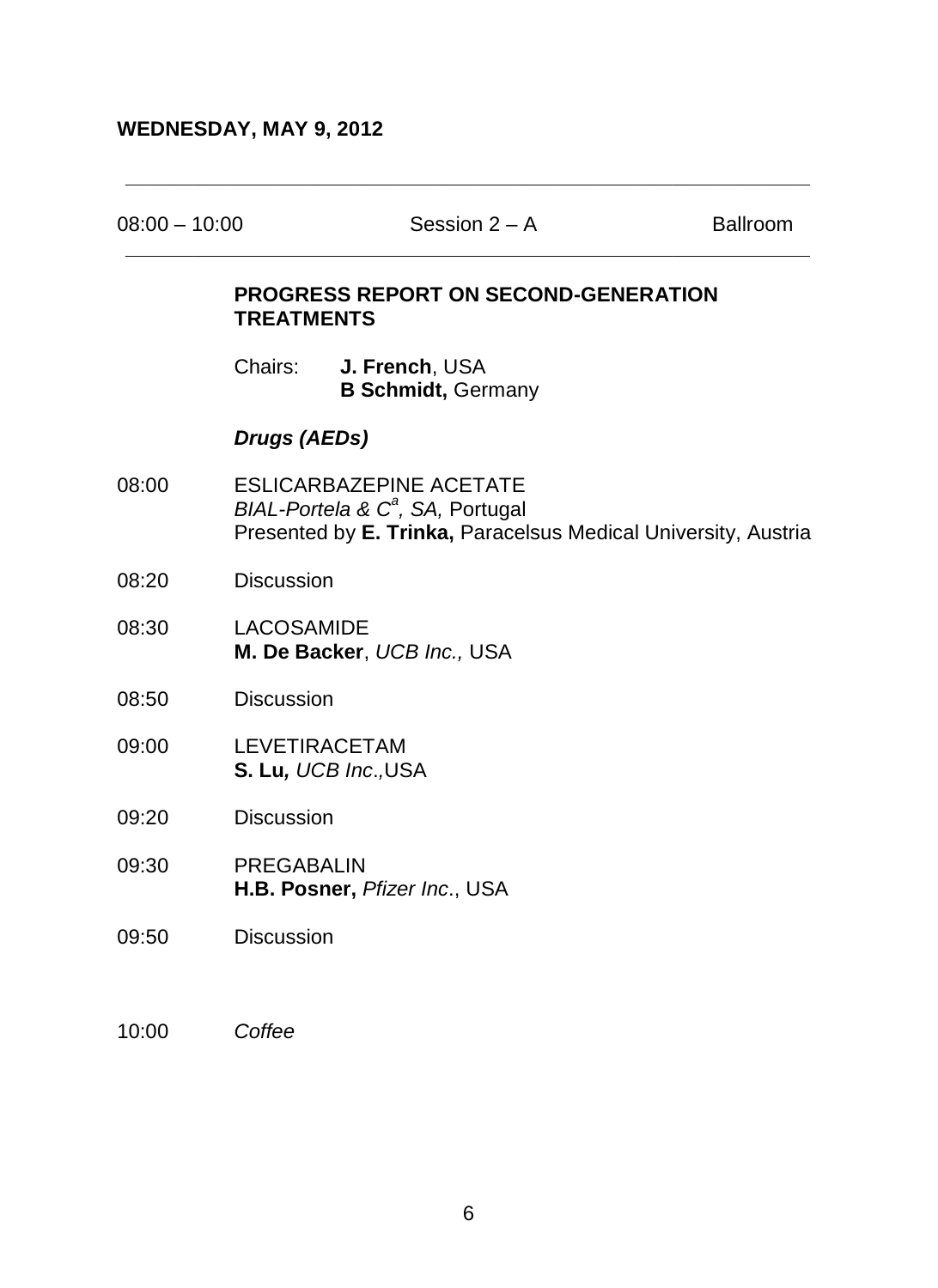08:00 – 10:00 Session 2 – A Ballroom

# **\_\_\_\_\_\_\_\_\_\_\_\_\_\_\_\_\_\_\_\_\_\_\_\_\_\_\_\_\_\_\_\_\_\_\_\_\_\_\_\_\_\_\_\_\_\_\_\_\_\_\_\_\_\_\_\_\_\_\_\_**

**\_\_\_\_\_\_\_\_\_\_\_\_\_\_\_\_\_\_\_\_\_\_\_\_\_\_\_\_\_\_\_\_\_\_\_\_\_\_\_\_\_\_\_\_\_\_\_\_\_\_\_\_\_\_\_\_\_\_\_\_**

## **PROGRESS REPORT ON SECOND-GENERATION TREATMENTS**

Chairs: **J. French**, USA **B Schmidt,** Germany

## *Drugs (AEDs)*

- 08:00 ESLICARBAZEPINE ACETATE *BIAL-Portela & C<sup>a</sup> , SA,* Portugal Presented by **E. Trinka,** Paracelsus Medical University, Austria
- 08:20 Discussion
- 08:30 LACOSAMIDE **M. De Backer**, *UCB Inc.,* USA
- 08:50 Discussion
- 09:00 LEVETIRACETAM **S. Lu***, UCB Inc*.*,*USA
- 09:20 Discussion
- 09:30 PREGABALIN **H.B. Posner,** *Pfizer Inc*., USA
- 09:50 Discussion

## 10:00 *Coffee*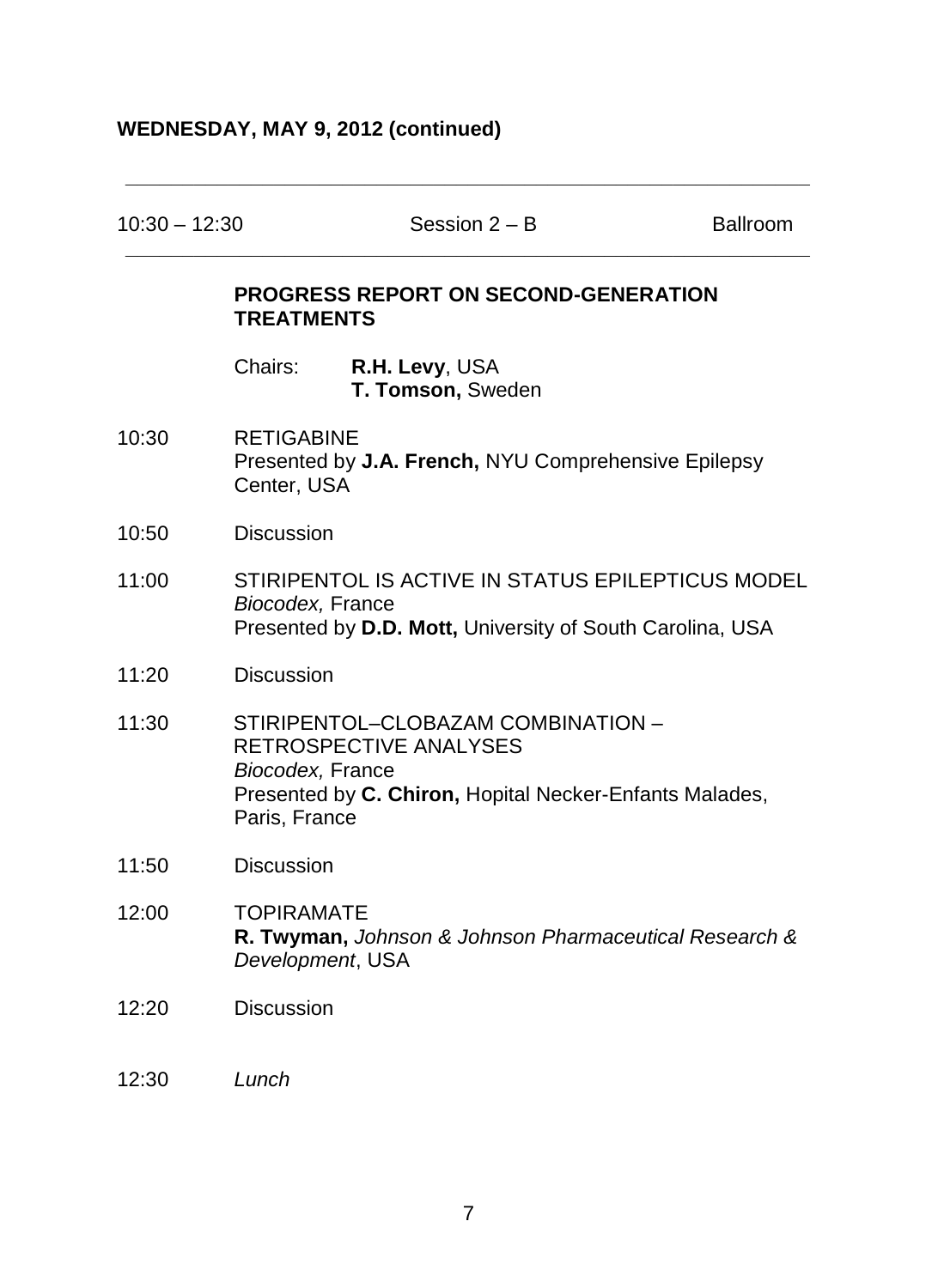| $10:30 - 12:30$ |                                                           | Session 2 - B                                                                                                           | Ballroom |
|-----------------|-----------------------------------------------------------|-------------------------------------------------------------------------------------------------------------------------|----------|
|                 | PROGRESS REPORT ON SECOND-GENERATION<br><b>TREATMENTS</b> |                                                                                                                         |          |
|                 | Chairs:                                                   | R.H. Levy, USA<br>T. Tomson, Sweden                                                                                     |          |
| 10:30           | <b>RETIGABINE</b><br>Center, USA                          | Presented by J.A. French, NYU Comprehensive Epilepsy                                                                    |          |
| 10:50           | <b>Discussion</b>                                         |                                                                                                                         |          |
| 11:00           | Biocodex, France                                          | STIRIPENTOL IS ACTIVE IN STATUS EPILEPTICUS MODEL<br>Presented by D.D. Mott, University of South Carolina, USA          |          |
| 11:20           | <b>Discussion</b>                                         |                                                                                                                         |          |
| 11:30           | Biocodex, France<br>Paris, France                         | STIRIPENTOL-CLOBAZAM COMBINATION -<br>RETROSPECTIVE ANALYSES<br>Presented by C. Chiron, Hopital Necker-Enfants Malades, |          |
| 11:50           | <b>Discussion</b>                                         |                                                                                                                         |          |
| 12:00           | <b>TOPIRAMATE</b><br>Development, USA                     | R. Twyman, Johnson & Johnson Pharmaceutical Research &                                                                  |          |
| 12:20           | <b>Discussion</b>                                         |                                                                                                                         |          |
| 12:30           | Lunch                                                     |                                                                                                                         |          |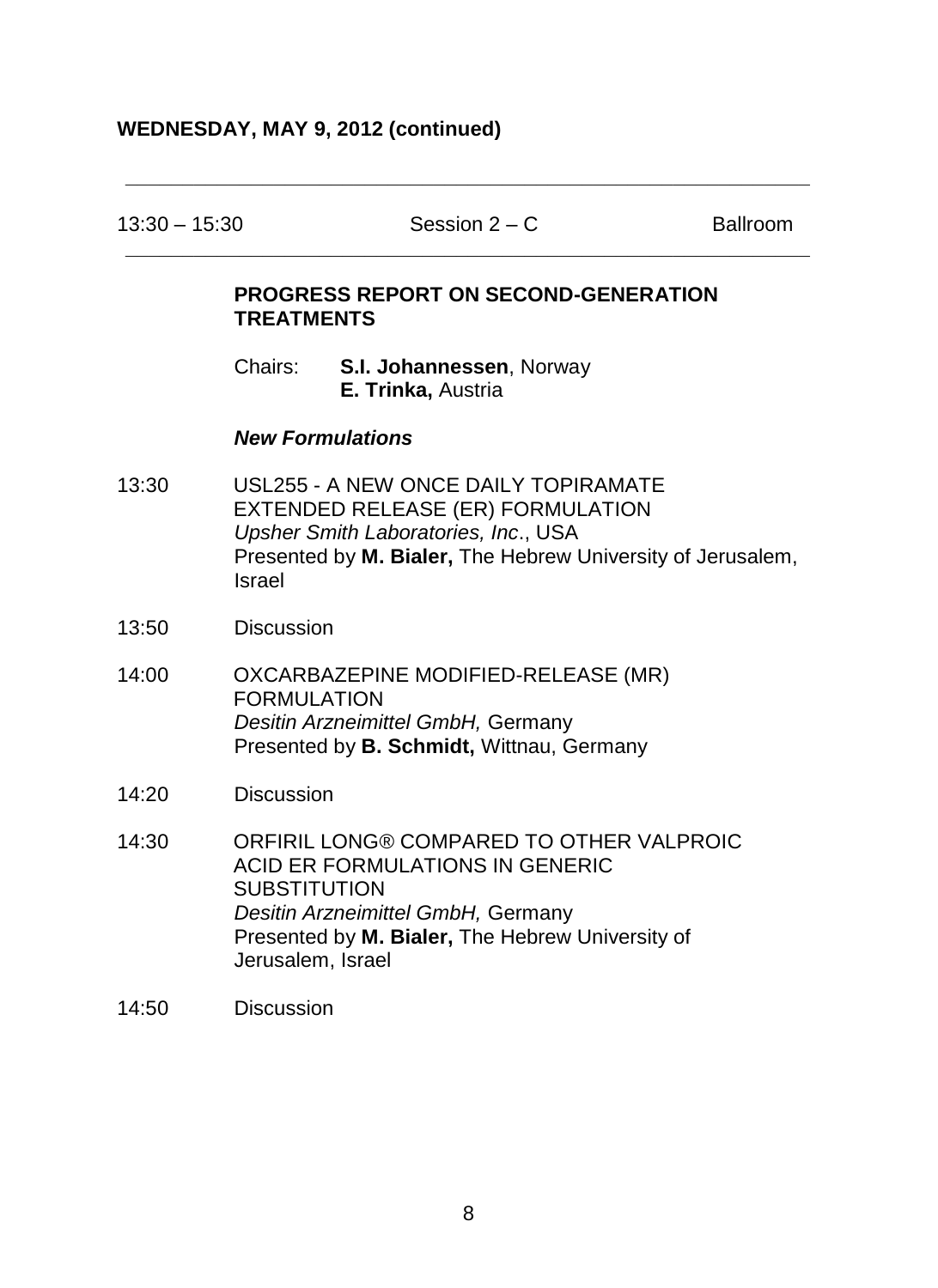$13:30 - 15:30$  Session  $2 - C$  Ballroom

**\_\_\_\_\_\_\_\_\_\_\_\_\_\_\_\_\_\_\_\_\_\_\_\_\_\_\_\_\_\_\_\_\_\_\_\_\_\_\_\_\_\_\_\_\_\_\_\_\_\_\_\_\_\_\_\_\_\_\_\_**

**\_\_\_\_\_\_\_\_\_\_\_\_\_\_\_\_\_\_\_\_\_\_\_\_\_\_\_\_\_\_\_\_\_\_\_\_\_\_\_\_\_\_\_\_\_\_\_\_\_\_\_\_\_\_\_\_\_\_\_\_**

## **PROGRESS REPORT ON SECOND-GENERATION TREATMENTS**

Chairs: **S.I. Johannessen**, Norway **E. Trinka,** Austria

#### *New Formulations*

- 13:30 USL255 A NEW ONCE DAILY TOPIRAMATE EXTENDED RELEASE (ER) FORMULATION *Upsher Smith Laboratories, Inc*., USA Presented by **M. Bialer,** The Hebrew University of Jerusalem, Israel
- 13:50 Discussion
- 14:00 OXCARBAZEPINE MODIFIED-RELEASE (MR) FORMULATION *Desitin Arzneimittel GmbH,* Germany Presented by **B. Schmidt,** Wittnau, Germany
- 14:20 Discussion
- 14:30 ORFIRIL LONG® COMPARED TO OTHER VALPROIC ACID ER FORMULATIONS IN GENERIC SUBSTITUTION *Desitin Arzneimittel GmbH,* Germany Presented by **M. Bialer,** The Hebrew University of Jerusalem, Israel
- 14:50 Discussion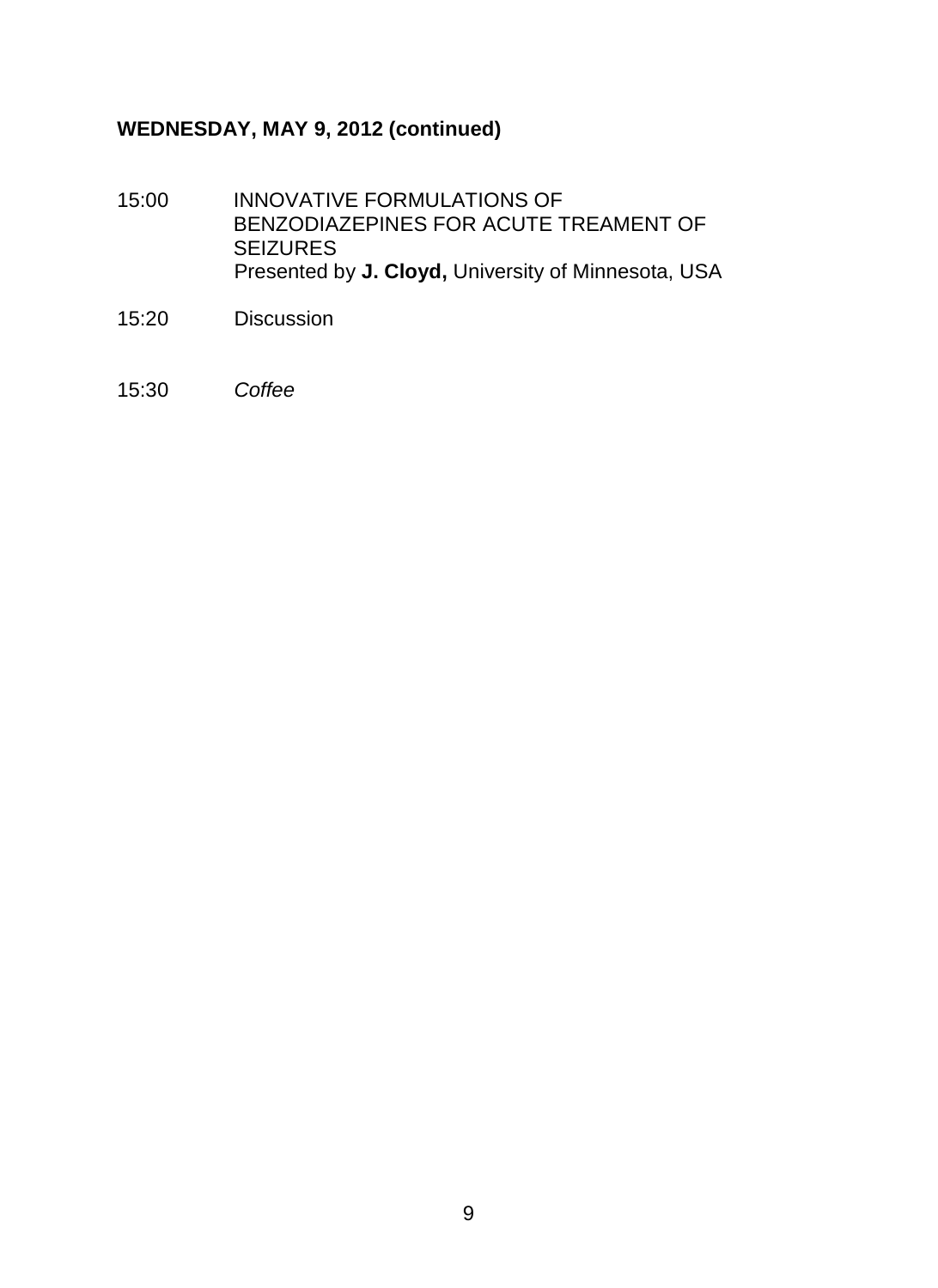## **WEDNESDAY, MAY 9, 2012 (continued)**

- 15:00 INNOVATIVE FORMULATIONS OF BENZODIAZEPINES FOR ACUTE TREAMENT OF **SEIZURES** Presented by **J. Cloyd,** University of Minnesota, USA
- 15:20 Discussion
- 15:30 *Coffee*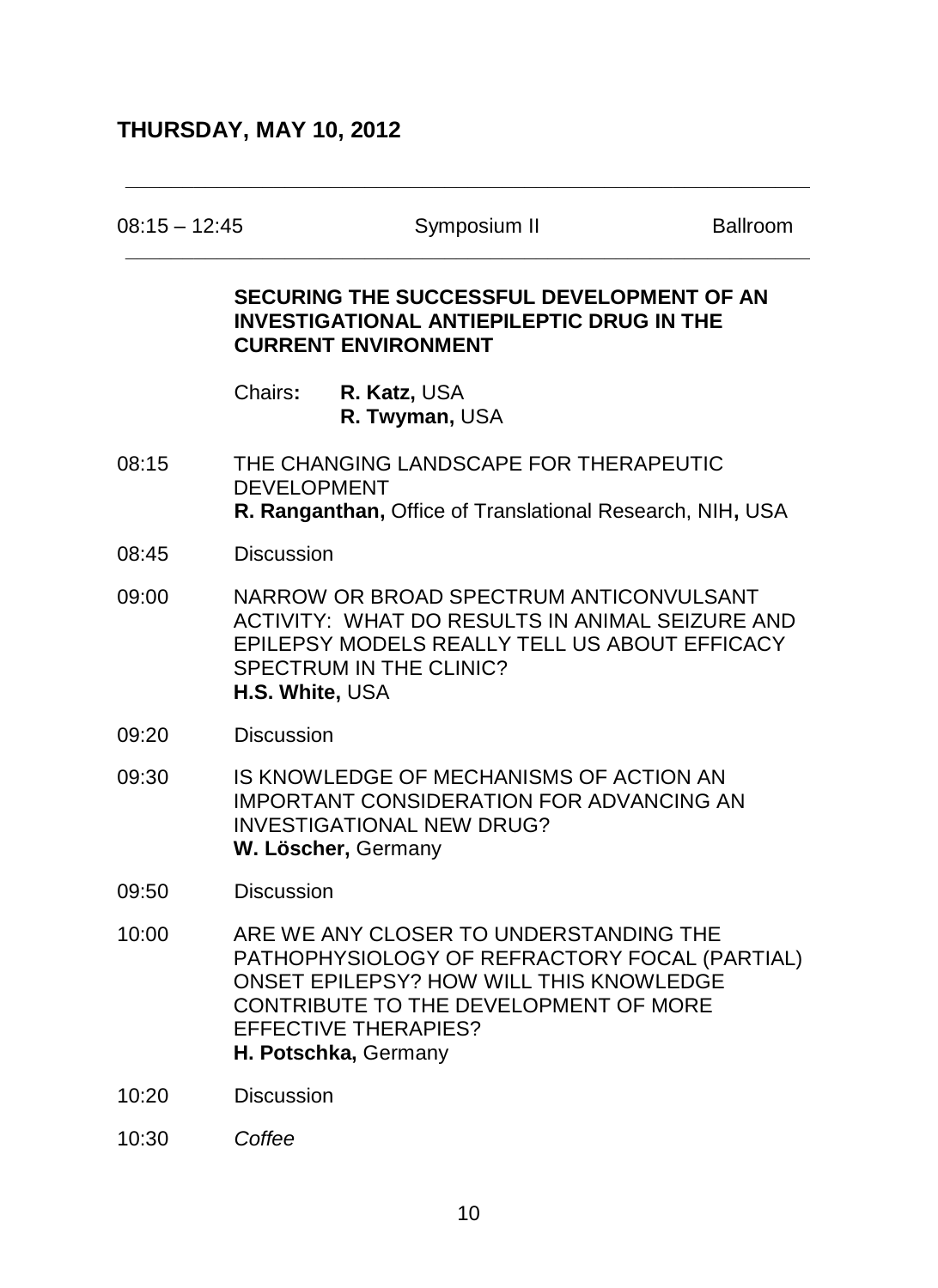08:15 – 12:45 Symposium II Ballroom

**\_\_\_\_\_\_\_\_\_\_\_\_\_\_\_\_\_\_\_\_\_\_\_\_\_\_\_\_\_\_\_\_\_\_\_\_\_\_\_\_\_\_\_\_\_\_\_\_\_\_\_\_\_\_\_\_\_\_\_\_**

**\_\_\_\_\_\_\_\_\_\_\_\_\_\_\_\_\_\_\_\_\_\_\_\_\_\_\_\_\_\_\_\_\_\_\_\_\_\_\_\_\_\_\_\_\_\_\_\_\_\_\_\_\_\_\_\_\_\_\_\_**

## **SECURING THE SUCCESSFUL DEVELOPMENT OF AN INVESTIGATIONAL ANTIEPILEPTIC DRUG IN THE CURRENT ENVIRONMENT**

Chairs**: R. Katz,** USA **R. Twyman,** USA

08:15 THE CHANGING LANDSCAPE FOR THERAPEUTIC DEVELOPMENT **R. Ranganthan,** Office of Translational Research, NIH**,** USA

#### 08:45 Discussion

- 09:00 NARROW OR BROAD SPECTRUM ANTICONVULSANT ACTIVITY: WHAT DO RESULTS IN ANIMAL SEIZURE AND EPILEPSY MODELS REALLY TELL US ABOUT EFFICACY SPECTRUM IN THE CLINIC? **H.S. White,** USA
- 09:20 Discussion
- 09:30 IS KNOWLEDGE OF MECHANISMS OF ACTION AN IMPORTANT CONSIDERATION FOR ADVANCING AN INVESTIGATIONAL NEW DRUG? **W. Löscher,** Germany
- 09:50 Discussion
- 10:00 ARE WE ANY CLOSER TO UNDERSTANDING THE PATHOPHYSIOLOGY OF REFRACTORY FOCAL (PARTIAL) ONSET EPILEPSY? HOW WILL THIS KNOWLEDGE CONTRIBUTE TO THE DEVELOPMENT OF MORE EFFECTIVE THERAPIES? **H. Potschka,** Germany
- 10:20 Discussion
- 10:30 *Coffee*